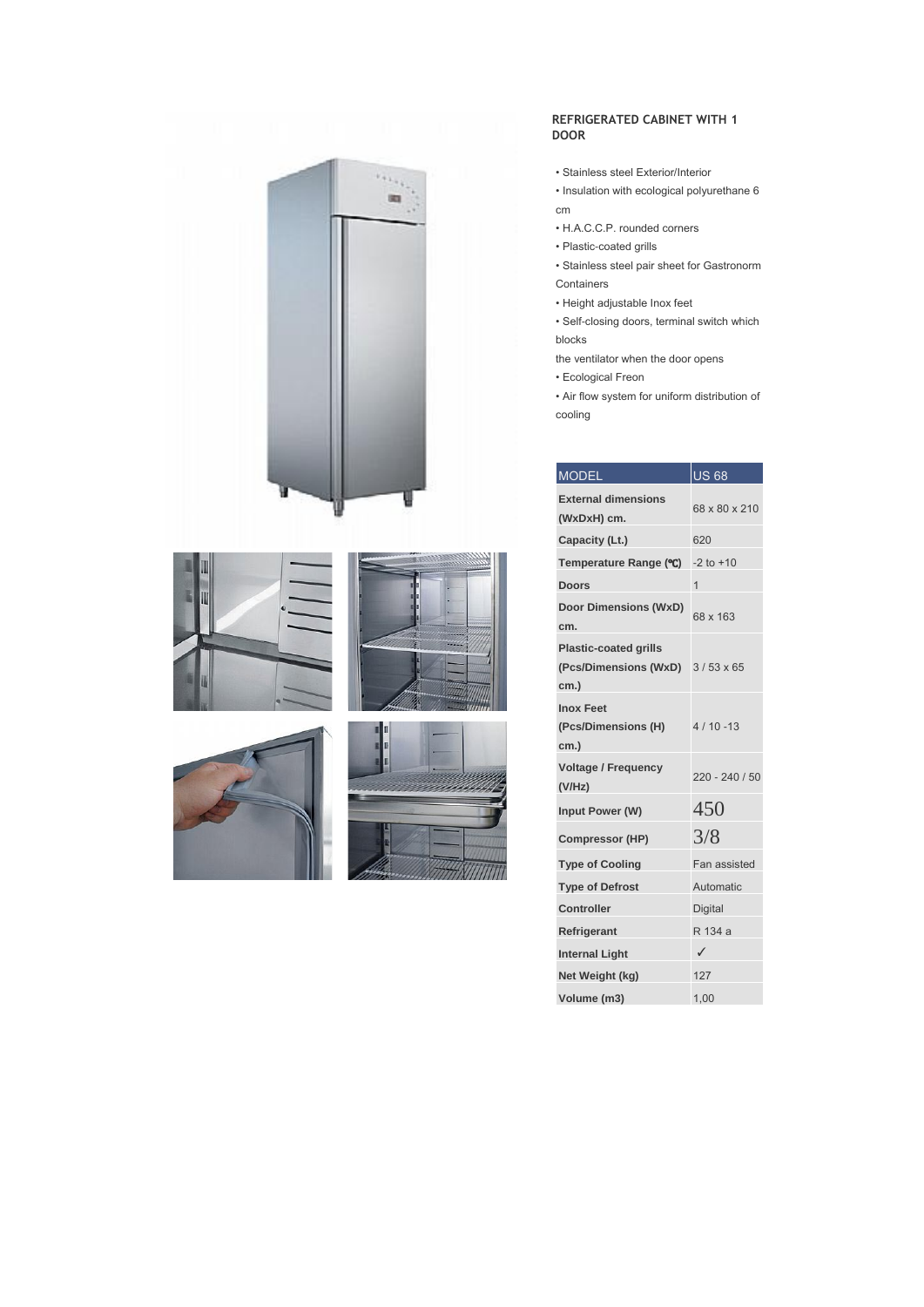









## **REFRIGERATED CABINET WITH 1 DOOR**

- Stainless steel Exterior/Interior
- Insulation with ecological polyurethane 6 cm
- H.A.C.C.P. rounded corners
- Plastic-coated grills
- Stainless steel pair sheet for Gastronorm Containers
- Height adjustable Inox feet
- Self-closing doors, terminal switch which blocks
- the ventilator when the door opens
- Ecological Freon
- Air flow system for uniform distribution of cooling

| <b>MODEL</b>                                                  | <b>US 68</b>     |
|---------------------------------------------------------------|------------------|
| <b>External dimensions</b><br>(WxDxH) cm.                     | 68 x 80 x 210    |
| Capacity (Lt.)                                                | 620              |
| Temperature Range (°C)                                        | $-2$ to $+10$    |
| <b>Doors</b>                                                  | 1                |
| <b>Door Dimensions (WxD)</b><br>cm.                           | 68 x 163         |
| <b>Plastic-coated grills</b><br>(Pcs/Dimensions (WxD)<br>cm.) | $3/53 \times 65$ |
| <b>Inox Feet</b><br>(Pcs/Dimensions (H)<br>cm.)               | $4/10 - 13$      |
| <b>Voltage / Frequency</b><br>(V/Hz)                          | $220 - 240 / 50$ |
| Input Power (W)                                               | 450              |
| <b>Compressor (HP)</b>                                        | 3/8              |
| <b>Type of Cooling</b>                                        | Fan assisted     |
| <b>Type of Defrost</b>                                        | Automatic        |
| Controller                                                    | Digital          |
| Refrigerant                                                   | R 134 a          |
| <b>Internal Light</b>                                         | ✓                |
| Net Weight (kg)                                               | 127              |
| Volume (m3)                                                   | 1,00             |